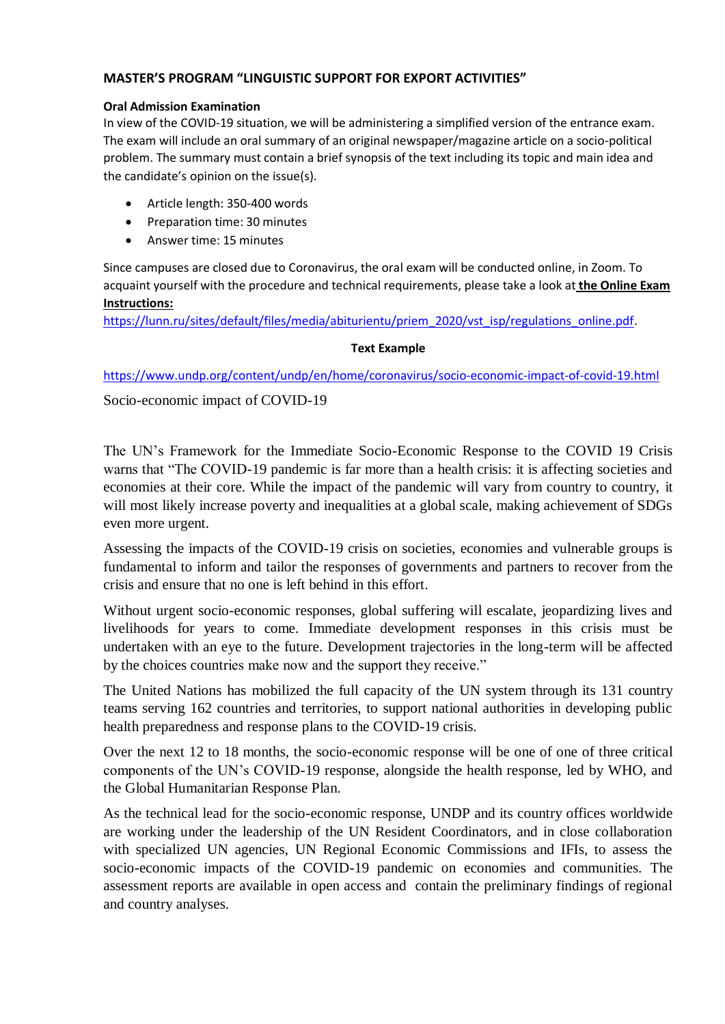## **MASTER'S PROGRAM "LINGUISTIC SUPPORT FOR EXPORT ACTIVITIES"**

## **Oral Admission Examination**

In view of the COVID-19 situation, we will be administering a simplified version of the entrance exam. The exam will include an oral summary of an original newspaper/magazine article on a socio-political problem. The summary must contain a brief synopsis of the text including its topic and main idea and the candidate's opinion on the issue(s).

- Article length: 350-400 words
- Preparation time: 30 minutes
- Answer time: 15 minutes

Since campuses are closed due to Coronavirus, the oral exam will be conducted online, in Zoom. To acquaint yourself with the procedure and technical requirements, please take a look at **the Online Exam Instructions:** 

[https://lunn.ru/sites/default/files/media/abiturientu/priem\\_2020/vst\\_isp/regulations\\_online.pdf.](https://lunn.ru/sites/default/files/media/abiturientu/priem_2020/vst_isp/regulations_online.pdf)

## **Text Example**

<https://www.undp.org/content/undp/en/home/coronavirus/socio-economic-impact-of-covid-19.html>

Socio-economic impact of COVID-19

The UN's Framework for the Immediate Socio-Economic Response to the COVID 19 Crisis warns that "The COVID-19 pandemic is far more than a health crisis: it is affecting societies and economies at their core. While the impact of the pandemic will vary from country to country, it will most likely increase poverty and inequalities at a global scale, making achievement of SDGs even more urgent.

Assessing the impacts of the COVID-19 crisis on societies, economies and vulnerable groups is fundamental to inform and tailor the responses of governments and partners to recover from the crisis and ensure that no one is left behind in this effort.

Without urgent socio-economic responses, global suffering will escalate, jeopardizing lives and livelihoods for years to come. Immediate development responses in this crisis must be undertaken with an eye to the future. Development trajectories in the long-term will be affected by the choices countries make now and the support they receive."

The United Nations has mobilized the full capacity of the UN system through its 131 country teams serving 162 countries and territories, to support national authorities in developing public health preparedness and response plans to the COVID-19 crisis.

Over the next 12 to 18 months, the socio-economic response will be one of one of three critical components of the UN's COVID-19 response, alongside the health response, led by WHO, and the Global Humanitarian Response Plan.

As the technical lead for the socio-economic response, UNDP and its country offices worldwide are working under the leadership of the UN Resident Coordinators, and in close collaboration with specialized UN agencies, UN Regional Economic Commissions and IFIs, to assess the socio-economic impacts of the COVID-19 pandemic on economies and communities. The assessment reports are available in open access and contain the preliminary findings of regional and country analyses.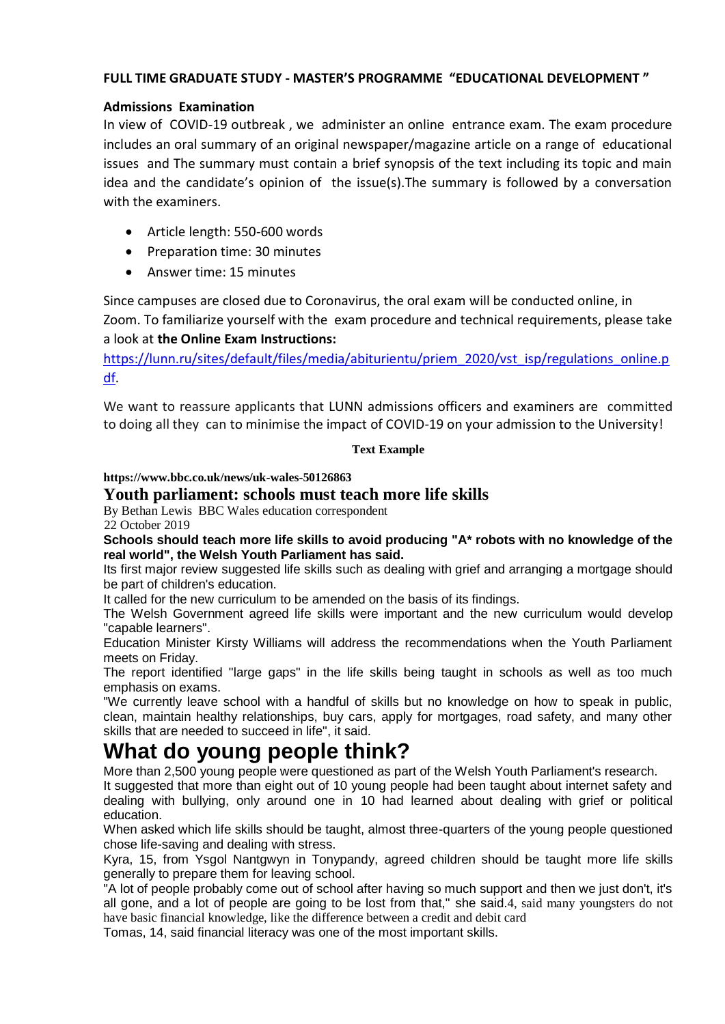## **FULL TIME GRADUATE STUDY - MASTER'S PROGRAMME "EDUCATIONAL DEVELOPMENT "**

## **Admissions Examination**

In view of COVID-19 outbreak , we administer an online entrance exam. The exam procedure includes an oral summary of an original newspaper/magazine article on a range of educational issues and The summary must contain a brief synopsis of the text including its topic and main idea and the candidate's opinion of the issue(s).The summary is followed by a conversation with the examiners.

- Article length: 550-600 words
- Preparation time: 30 minutes
- Answer time: 15 minutes

Since campuses are closed due to Coronavirus, the oral exam will be conducted online, in Zoom. To familiarize yourself with the exam procedure and technical requirements, please take a look at **the Online Exam Instructions:**

[https://lunn.ru/sites/default/files/media/abiturientu/priem\\_2020/vst\\_isp/regulations\\_online.p](https://lunn.ru/sites/default/files/media/abiturientu/priem_2020/vst_isp/regulations_online.pdf) [df.](https://lunn.ru/sites/default/files/media/abiturientu/priem_2020/vst_isp/regulations_online.pdf)

We want to reassure applicants that LUNN admissions officers and examiners are committed to doing all they can to minimise the impact of COVID-19 on your admission to the University!

#### **Text Example**

#### **https://www.bbc.co.uk/news/uk-wales-50126863**

## **Youth parliament: schools must teach more life skills**

By Bethan Lewis BBC Wales education correspondent

22 October 2019

**Schools should teach more life skills to avoid producing "A\* robots with no knowledge of the real world", the Welsh Youth Parliament has said.**

Its first major review suggested life skills such as dealing with grief and arranging a mortgage should be part of children's education.

It called for the new curriculum to be amended on the basis of its findings.

The Welsh Government agreed life skills were important and the new curriculum would develop "capable learners".

Education Minister Kirsty Williams will address the recommendations when the Youth Parliament meets on Friday.

The report identified "large gaps" in the life skills being taught in schools as well as too much emphasis on exams.

"We currently leave school with a handful of skills but no knowledge on how to speak in public, clean, maintain healthy relationships, buy cars, apply for mortgages, road safety, and many other skills that are needed to succeed in life", it said.

## **What do young people think?**

More than 2,500 young people were questioned as part of the Welsh Youth Parliament's research.

It suggested that more than eight out of 10 young people had been taught about internet safety and dealing with bullying, only around one in 10 had learned about dealing with grief or political education.

When asked which life skills should be taught, almost three-quarters of the young people questioned chose life-saving and dealing with stress.

Kyra, 15, from Ysgol Nantgwyn in Tonypandy, agreed children should be taught more life skills generally to prepare them for leaving school.

"A lot of people probably come out of school after having so much support and then we just don't, it's all gone, and a lot of people are going to be lost from that," she said.4, said many youngsters do not have basic financial knowledge, like the difference between a credit and debit card

Tomas, 14, said financial literacy was one of the most important skills.